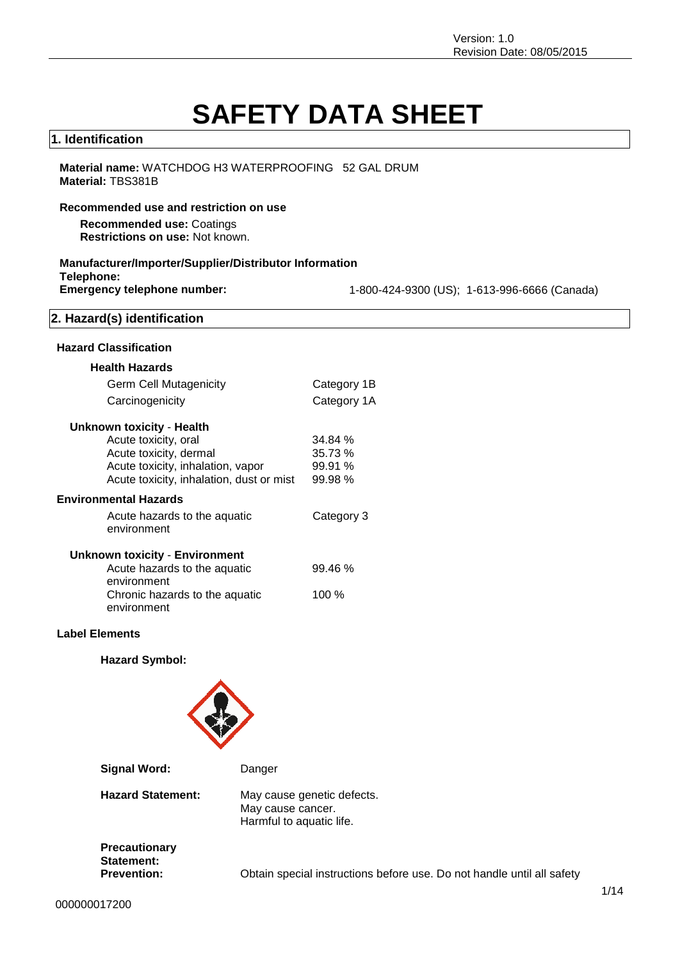# **SAFETY DATA SHEET**

#### **1. Identification**

#### **Material name:** WATCHDOG H3 WATERPROOFING 52 GAL DRUM **Material:** TBS381B

#### **Recommended use and restriction on use**

**Recommended use:** Coatings **Restrictions on use:** Not known.

#### **Manufacturer/Importer/Supplier/Distributor Information**

**Telephone:**

**Emergency telephone number:** 1-800-424-9300 (US); 1-613-996-6666 (Canada)

## **2. Hazard(s) identification**

#### **Hazard Classification**

| <b>Health Hazards</b>                         |             |
|-----------------------------------------------|-------------|
| <b>Germ Cell Mutagenicity</b>                 | Category 1B |
| Carcinogenicity                               | Category 1A |
| <b>Unknown toxicity - Health</b>              |             |
| Acute toxicity, oral                          | 34.84%      |
| Acute toxicity, dermal                        | 35.73 %     |
| Acute toxicity, inhalation, vapor             | 99.91 %     |
| Acute toxicity, inhalation, dust or mist      | 99.98 %     |
| <b>Environmental Hazards</b>                  |             |
| Acute hazards to the aquatic<br>environment   | Category 3  |
| <b>Unknown toxicity - Environment</b>         |             |
| Acute hazards to the aquatic<br>environment   | 99.46 %     |
| Chronic hazards to the aquatic<br>environment | 100 %       |

#### **Label Elements**

**Hazard Symbol:**



| Signal Word:                                      | Danger                                                                      |
|---------------------------------------------------|-----------------------------------------------------------------------------|
| <b>Hazard Statement:</b>                          | May cause genetic defects.<br>May cause cancer.<br>Harmful to aquatic life. |
| Precautionary<br>Statement:<br><b>Prevention:</b> | Obtain special instructions before use. Do not handle until all safety      |
|                                                   |                                                                             |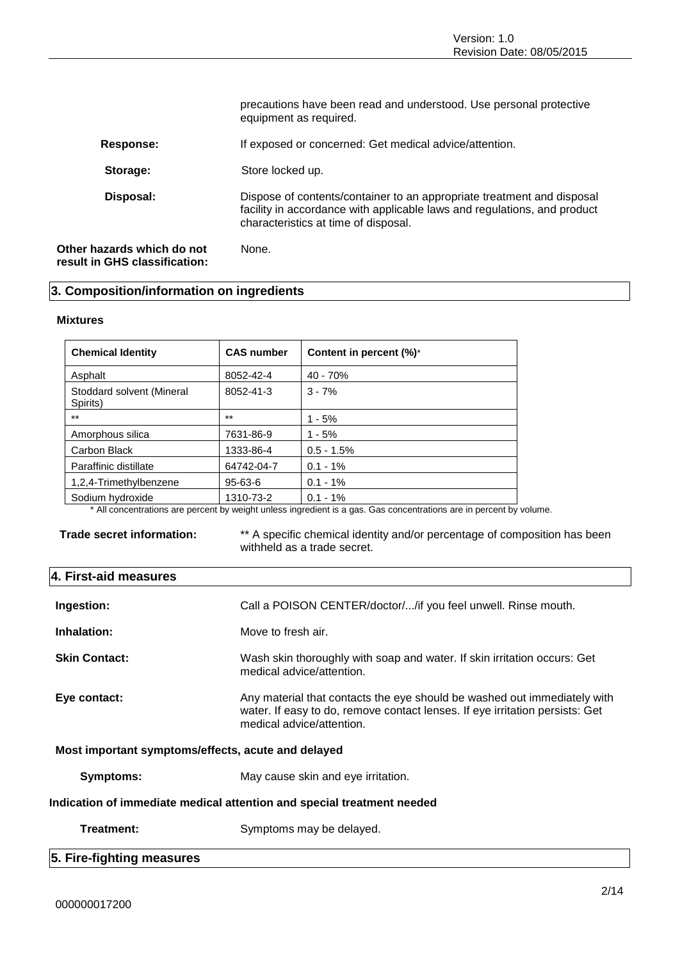precautions have been read and understood. Use personal protective equipment as required. **Response:** If exposed or concerned: Get medical advice/attention. Storage: Store locked up. **Disposal:** Dispose of contents/container to an appropriate treatment and disposal facility in accordance with applicable laws and regulations, and product characteristics at time of disposal. **Other hazards which do not result in GHS classification:** None.

#### **3. Composition/information on ingredients**

#### **Mixtures**

| <b>Chemical Identity</b>              | <b>CAS number</b> | Content in percent (%)* |
|---------------------------------------|-------------------|-------------------------|
| Asphalt                               | 8052-42-4         | $40 - 70%$              |
| Stoddard solvent (Mineral<br>Spirits) | 8052-41-3         | $3 - 7%$                |
| $***$                                 | $***$             | $1 - 5%$                |
| Amorphous silica                      | 7631-86-9         | $1 - 5%$                |
| Carbon Black                          | 1333-86-4         | $0.5 - 1.5%$            |
| Paraffinic distillate                 | 64742-04-7        | $0.1 - 1\%$             |
| 1,2,4-Trimethylbenzene                | 95-63-6           | $0.1 - 1%$              |
| Sodium hydroxide                      | 1310-73-2         | $0.1 - 1\%$             |

\* All concentrations are percent by weight unless ingredient is a gas. Gas concentrations are in percent by volume.

**Trade secret information:** \*\* A specific chemical identity and/or percentage of composition has been withheld as a trade secret.

| 4. First-aid measures                                                  |                                                                                                                                                                                       |  |  |
|------------------------------------------------------------------------|---------------------------------------------------------------------------------------------------------------------------------------------------------------------------------------|--|--|
| Ingestion:                                                             | Call a POISON CENTER/doctor//if you feel unwell. Rinse mouth.                                                                                                                         |  |  |
| Inhalation:                                                            | Move to fresh air.                                                                                                                                                                    |  |  |
| <b>Skin Contact:</b>                                                   | Wash skin thoroughly with soap and water. If skin irritation occurs: Get<br>medical advice/attention.                                                                                 |  |  |
| Eye contact:                                                           | Any material that contacts the eye should be washed out immediately with<br>water. If easy to do, remove contact lenses. If eye irritation persists: Get<br>medical advice/attention. |  |  |
| Most important symptoms/effects, acute and delayed                     |                                                                                                                                                                                       |  |  |
| <b>Symptoms:</b>                                                       | May cause skin and eye irritation.                                                                                                                                                    |  |  |
| Indication of immediate medical attention and special treatment needed |                                                                                                                                                                                       |  |  |
| Treatment:                                                             | Symptoms may be delayed.                                                                                                                                                              |  |  |
| 5. Fire-fighting measures                                              |                                                                                                                                                                                       |  |  |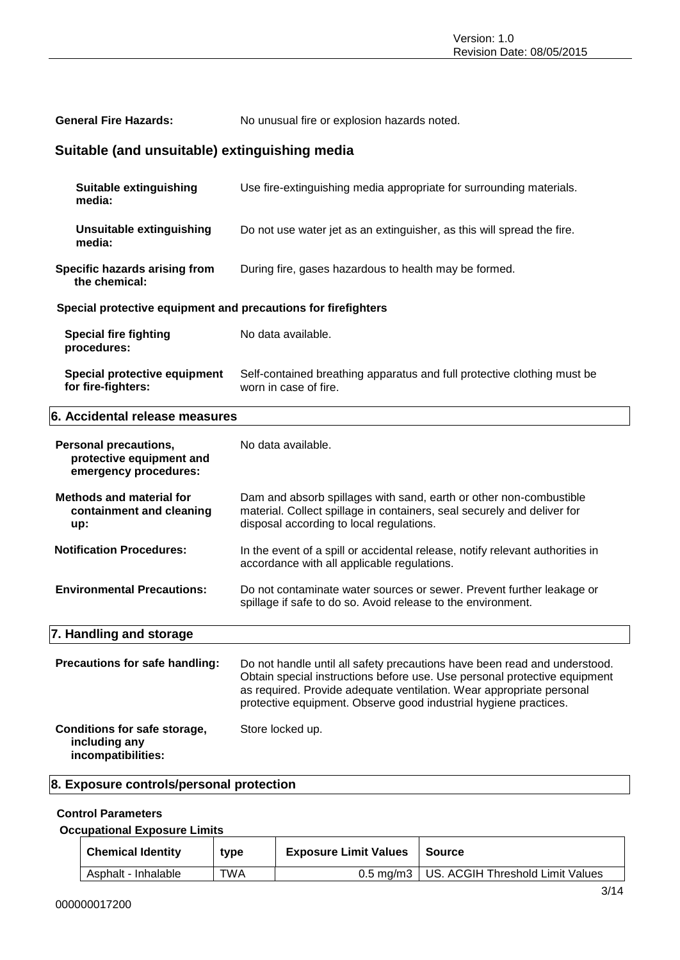| Suitable (and unsuitable) extinguishing media<br>Suitable extinguishing<br>Use fire-extinguishing media appropriate for surrounding materials.<br>media:<br><b>Unsuitable extinguishing</b><br>Do not use water jet as an extinguisher, as this will spread the fire.<br>media:<br>During fire, gases hazardous to health may be formed.<br>Specific hazards arising from<br>the chemical:<br>Special protective equipment and precautions for firefighters | No unusual fire or explosion hazards noted. |  |
|-------------------------------------------------------------------------------------------------------------------------------------------------------------------------------------------------------------------------------------------------------------------------------------------------------------------------------------------------------------------------------------------------------------------------------------------------------------|---------------------------------------------|--|
|                                                                                                                                                                                                                                                                                                                                                                                                                                                             |                                             |  |
|                                                                                                                                                                                                                                                                                                                                                                                                                                                             |                                             |  |
|                                                                                                                                                                                                                                                                                                                                                                                                                                                             |                                             |  |
|                                                                                                                                                                                                                                                                                                                                                                                                                                                             |                                             |  |
|                                                                                                                                                                                                                                                                                                                                                                                                                                                             |                                             |  |
| <b>Special fire fighting</b><br>No data available.<br>procedures:                                                                                                                                                                                                                                                                                                                                                                                           |                                             |  |
| Special protective equipment<br>Self-contained breathing apparatus and full protective clothing must be<br>for fire-fighters:<br>worn in case of fire.                                                                                                                                                                                                                                                                                                      |                                             |  |
| 6. Accidental release measures                                                                                                                                                                                                                                                                                                                                                                                                                              |                                             |  |
| <b>Personal precautions,</b><br>No data available.<br>protective equipment and<br>emergency procedures:                                                                                                                                                                                                                                                                                                                                                     |                                             |  |
| <b>Methods and material for</b><br>Dam and absorb spillages with sand, earth or other non-combustible<br>material. Collect spillage in containers, seal securely and deliver for<br>containment and cleaning<br>disposal according to local regulations.<br>up:                                                                                                                                                                                             |                                             |  |
| <b>Notification Procedures:</b><br>In the event of a spill or accidental release, notify relevant authorities in<br>accordance with all applicable regulations.                                                                                                                                                                                                                                                                                             |                                             |  |
| <b>Environmental Precautions:</b><br>Do not contaminate water sources or sewer. Prevent further leakage or<br>spillage if safe to do so. Avoid release to the environment.                                                                                                                                                                                                                                                                                  |                                             |  |
| 7. Handling and storage                                                                                                                                                                                                                                                                                                                                                                                                                                     |                                             |  |
| Precautions for safe handling:<br>Do not handle until all safety precautions have been read and understood.<br>Obtain special instructions before use. Use personal protective equipment<br>as required. Provide adequate ventilation. Wear appropriate personal<br>protective equipment. Observe good industrial hygiene practices.                                                                                                                        |                                             |  |
| Conditions for safe storage,<br>Store locked up.<br>including any<br>incompatibilities:                                                                                                                                                                                                                                                                                                                                                                     |                                             |  |

#### **8. Exposure controls/personal protection**

#### **Control Parameters**

#### **Occupational Exposure Limits**

| <b>Chemical Identity</b> | type | <b>Exposure Limit Values</b> | l Source                                     |
|--------------------------|------|------------------------------|----------------------------------------------|
| Asphalt - Inhalable      | TWA  |                              | 0.5 mg/m3   US. ACGIH Threshold Limit Values |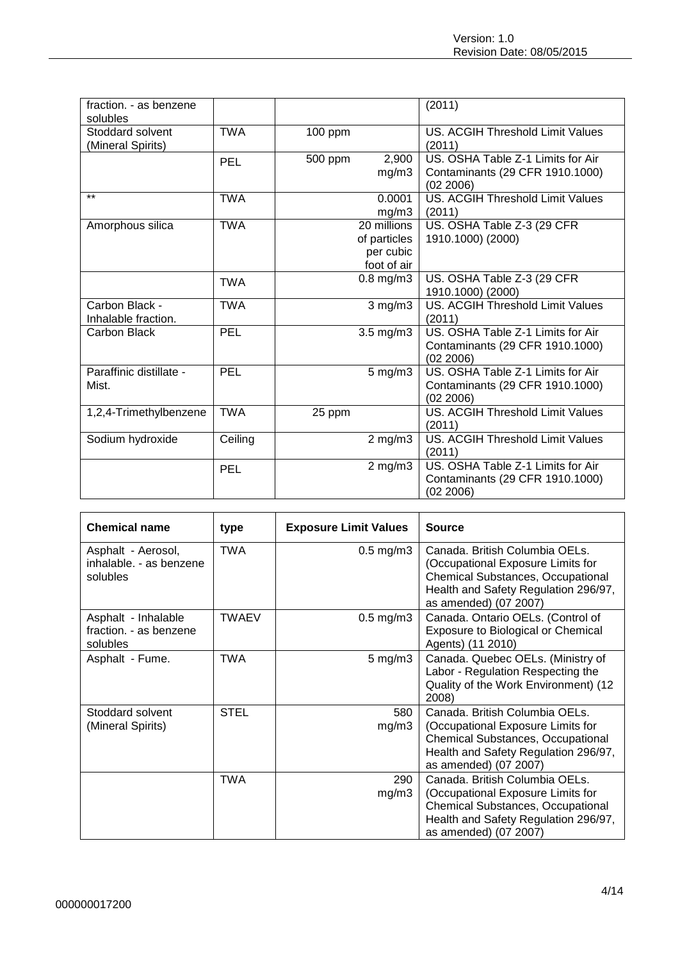| fraction. - as benzene<br>solubles    |            |                                            |                    | (2011)                                                                            |
|---------------------------------------|------------|--------------------------------------------|--------------------|-----------------------------------------------------------------------------------|
| Stoddard solvent<br>(Mineral Spirits) | <b>TWA</b> | 100 ppm                                    |                    | US. ACGIH Threshold Limit Values<br>(2011)                                        |
|                                       | PEL        | 500 ppm                                    | 2,900<br>mg/m3     | US. OSHA Table Z-1 Limits for Air<br>Contaminants (29 CFR 1910.1000)<br>(02 2006) |
| $***$                                 | <b>TWA</b> |                                            | 0.0001<br>mg/m3    | <b>US. ACGIH Threshold Limit Values</b><br>(2011)                                 |
| Amorphous silica                      | <b>TWA</b> | 20 millions<br>of particles<br>foot of air | per cubic          | US. OSHA Table Z-3 (29 CFR<br>1910.1000) (2000)                                   |
|                                       | <b>TWA</b> | $0.8$ mg/m $3$                             |                    | US. OSHA Table Z-3 (29 CFR<br>1910.1000) (2000)                                   |
| Carbon Black -<br>Inhalable fraction. | <b>TWA</b> |                                            | 3 mg/m3            | <b>US. ACGIH Threshold Limit Values</b><br>(2011)                                 |
| Carbon Black                          | PEL        | $3.5 \text{ mg/m}$ 3                       |                    | US. OSHA Table Z-1 Limits for Air<br>Contaminants (29 CFR 1910.1000)<br>(02 2006) |
| Paraffinic distillate -<br>Mist.      | PEL        |                                            | $5 \text{ mg/m}$ 3 | US. OSHA Table Z-1 Limits for Air<br>Contaminants (29 CFR 1910.1000)<br>(02 2006) |
| 1,2,4-Trimethylbenzene                | <b>TWA</b> | 25 ppm                                     |                    | US. ACGIH Threshold Limit Values<br>(2011)                                        |
| Sodium hydroxide                      | Ceiling    |                                            | $2$ mg/m $3$       | <b>US. ACGIH Threshold Limit Values</b><br>(2011)                                 |
|                                       | PEL        |                                            | $2$ mg/m $3$       | US. OSHA Table Z-1 Limits for Air<br>Contaminants (29 CFR 1910.1000)<br>(02 2006) |

| <b>Chemical name</b>                                      | type         | <b>Exposure Limit Values</b> | <b>Source</b>                                                                                                                                                                    |
|-----------------------------------------------------------|--------------|------------------------------|----------------------------------------------------------------------------------------------------------------------------------------------------------------------------------|
| Asphalt - Aerosol,<br>inhalable. - as benzene<br>solubles | <b>TWA</b>   | $0.5$ mg/m $3$               | Canada. British Columbia OELs.<br>(Occupational Exposure Limits for<br><b>Chemical Substances, Occupational</b><br>Health and Safety Regulation 296/97,<br>as amended) (07 2007) |
| Asphalt - Inhalable<br>fraction. - as benzene<br>solubles | <b>TWAEV</b> | $0.5$ mg/m $3$               | Canada. Ontario OELs. (Control of<br>Exposure to Biological or Chemical<br>Agents) (11 2010)                                                                                     |
| Asphalt - Fume.                                           | TWA          | $5 \text{ mg/m}$ 3           | Canada. Quebec OELs. (Ministry of<br>Labor - Regulation Respecting the<br>Quality of the Work Environment) (12<br>2008)                                                          |
| Stoddard solvent<br>(Mineral Spirits)                     | <b>STEL</b>  | 580<br>mg/m3                 | Canada. British Columbia OELs.<br>(Occupational Exposure Limits for<br><b>Chemical Substances, Occupational</b><br>Health and Safety Regulation 296/97,<br>as amended) (07 2007) |
|                                                           | TWA          | 290<br>mg/m3                 | Canada. British Columbia OELs.<br>(Occupational Exposure Limits for<br>Chemical Substances, Occupational<br>Health and Safety Regulation 296/97,<br>as amended) (07 2007)        |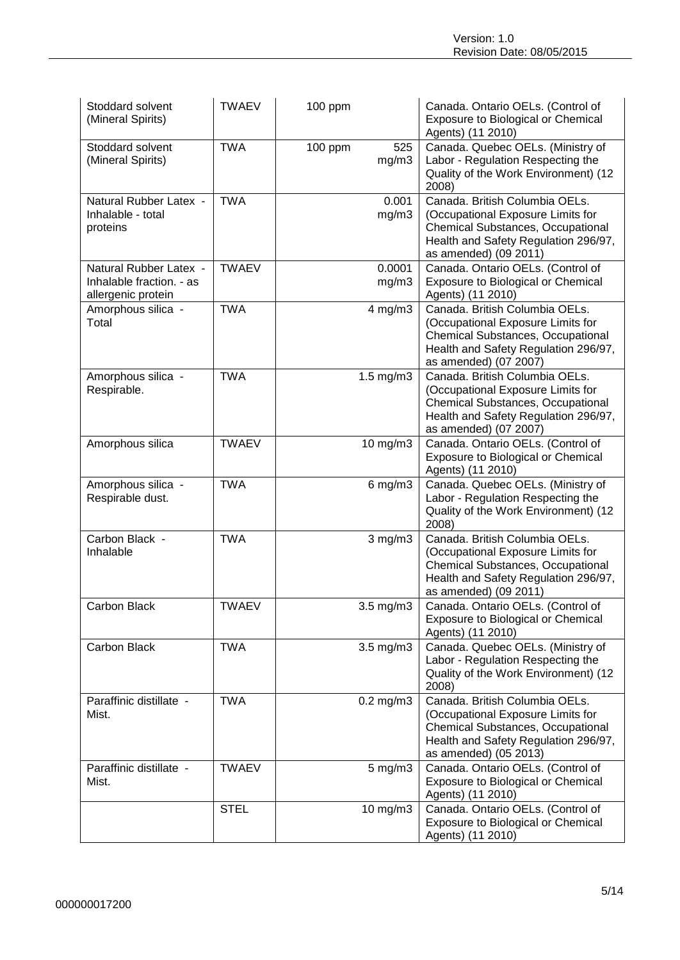| Stoddard solvent<br>(Mineral Spirits)                                    | <b>TWAEV</b> | 100 ppm                 | Canada. Ontario OELs. (Control of<br>Exposure to Biological or Chemical<br>Agents) (11 2010)                                                                                     |
|--------------------------------------------------------------------------|--------------|-------------------------|----------------------------------------------------------------------------------------------------------------------------------------------------------------------------------|
| Stoddard solvent<br>(Mineral Spirits)                                    | <b>TWA</b>   | 525<br>100 ppm<br>mg/m3 | Canada. Quebec OELs. (Ministry of<br>Labor - Regulation Respecting the<br>Quality of the Work Environment) (12<br>2008)                                                          |
| Natural Rubber Latex -<br>Inhalable - total<br>proteins                  | <b>TWA</b>   | 0.001<br>mg/m3          | Canada. British Columbia OELs.<br>(Occupational Exposure Limits for<br>Chemical Substances, Occupational<br>Health and Safety Regulation 296/97,<br>as amended) (09 2011)        |
| Natural Rubber Latex -<br>Inhalable fraction. - as<br>allergenic protein | <b>TWAEV</b> | 0.0001<br>mg/m3         | Canada. Ontario OELs. (Control of<br>Exposure to Biological or Chemical<br>Agents) (11 2010)                                                                                     |
| Amorphous silica -<br>Total                                              | <b>TWA</b>   | $4$ mg/m $3$            | Canada. British Columbia OELs.<br>(Occupational Exposure Limits for<br><b>Chemical Substances, Occupational</b><br>Health and Safety Regulation 296/97,<br>as amended) (07 2007) |
| Amorphous silica -<br>Respirable.                                        | <b>TWA</b>   | $1.5$ mg/m $3$          | Canada. British Columbia OELs.<br>(Occupational Exposure Limits for<br><b>Chemical Substances, Occupational</b><br>Health and Safety Regulation 296/97,<br>as amended) (07 2007) |
| Amorphous silica                                                         | <b>TWAEV</b> | 10 mg/m3                | Canada. Ontario OELs. (Control of<br>Exposure to Biological or Chemical<br>Agents) (11 2010)                                                                                     |
| Amorphous silica -<br>Respirable dust.                                   | <b>TWA</b>   | $6$ mg/m $3$            | Canada. Quebec OELs. (Ministry of<br>Labor - Regulation Respecting the<br>Quality of the Work Environment) (12<br>2008)                                                          |
| Carbon Black -<br>Inhalable                                              | <b>TWA</b>   | $3$ mg/m $3$            | Canada. British Columbia OELs.<br>(Occupational Exposure Limits for<br>Chemical Substances, Occupational<br>Health and Safety Regulation 296/97,<br>as amended) (09 2011)        |
| Carbon Black                                                             | <b>TWAEV</b> | 3.5 mg/m3               | Canada, Ontario OELs. (Control of<br>Exposure to Biological or Chemical<br>Agents) (11 2010)                                                                                     |
| Carbon Black                                                             | <b>TWA</b>   | 3.5 mg/m3               | Canada. Quebec OELs. (Ministry of<br>Labor - Regulation Respecting the<br>Quality of the Work Environment) (12<br>2008)                                                          |
| Paraffinic distillate -<br>Mist.                                         | <b>TWA</b>   | $0.2$ mg/m $3$          | Canada. British Columbia OELs.<br>(Occupational Exposure Limits for<br><b>Chemical Substances, Occupational</b><br>Health and Safety Regulation 296/97,<br>as amended) (05 2013) |
| Paraffinic distillate -<br>Mist.                                         | <b>TWAEV</b> | $5$ mg/m $3$            | Canada. Ontario OELs. (Control of<br>Exposure to Biological or Chemical<br>Agents) (11 2010)                                                                                     |
|                                                                          | <b>STEL</b>  | 10 mg/m3                | Canada. Ontario OELs. (Control of<br>Exposure to Biological or Chemical<br>Agents) (11 2010)                                                                                     |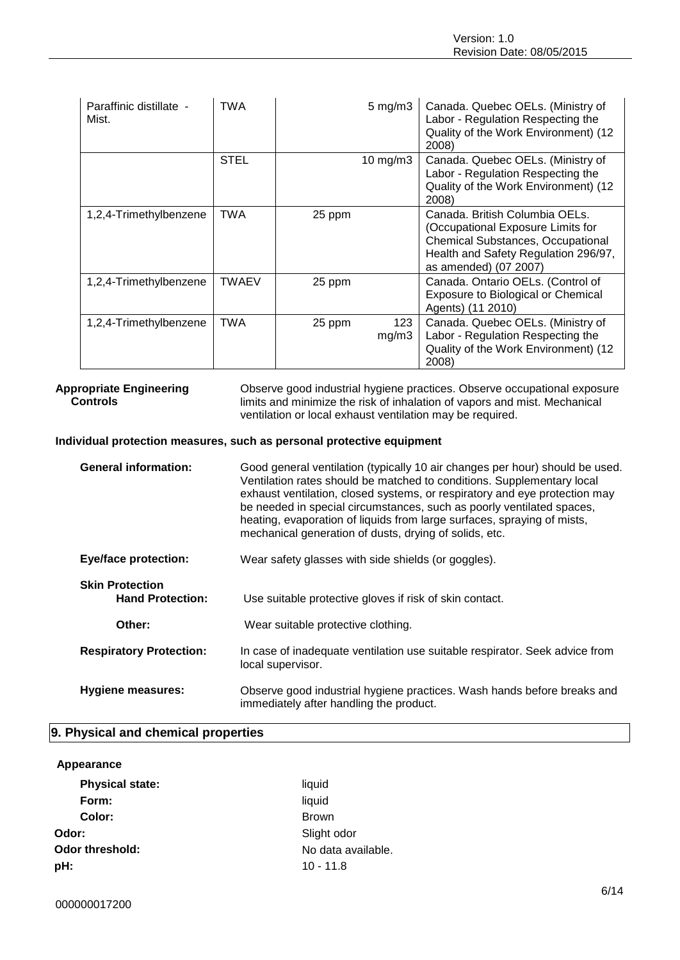| Paraffinic distillate -<br>Mist. | <b>TWA</b> |        | $5 \text{ mg/m}$ 3 | Canada. Quebec OELs. (Ministry of<br>Labor - Regulation Respecting the<br>Quality of the Work Environment) (12<br>2008)                                                          |
|----------------------------------|------------|--------|--------------------|----------------------------------------------------------------------------------------------------------------------------------------------------------------------------------|
|                                  | STEL       |        | 10 mg/m $3$        | Canada. Quebec OELs. (Ministry of<br>Labor - Regulation Respecting the<br>Quality of the Work Environment) (12<br>2008)                                                          |
| 1,2,4-Trimethylbenzene           | <b>TWA</b> | 25 ppm |                    | Canada. British Columbia OELs.<br>(Occupational Exposure Limits for<br><b>Chemical Substances, Occupational</b><br>Health and Safety Regulation 296/97,<br>as amended) (07 2007) |
| 1,2,4-Trimethylbenzene           | TWAEV      | 25 ppm |                    | Canada. Ontario OELs. (Control of<br>Exposure to Biological or Chemical<br>Agents) (11 2010)                                                                                     |
| 1,2,4-Trimethylbenzene           | TWA        | 25 ppm | 123<br>mg/m3       | Canada. Quebec OELs. (Ministry of<br>Labor - Regulation Respecting the<br>Quality of the Work Environment) (12<br>2008)                                                          |

### **Appropriate Engineering Controls**

Observe good industrial hygiene practices. Observe occupational exposure limits and minimize the risk of inhalation of vapors and mist. Mechanical ventilation or local exhaust ventilation may be required.

#### **Individual protection measures, such as personal protective equipment**

| <b>General information:</b>                       | Good general ventilation (typically 10 air changes per hour) should be used.<br>Ventilation rates should be matched to conditions. Supplementary local<br>exhaust ventilation, closed systems, or respiratory and eye protection may<br>be needed in special circumstances, such as poorly ventilated spaces,<br>heating, evaporation of liquids from large surfaces, spraying of mists,<br>mechanical generation of dusts, drying of solids, etc. |  |  |  |
|---------------------------------------------------|----------------------------------------------------------------------------------------------------------------------------------------------------------------------------------------------------------------------------------------------------------------------------------------------------------------------------------------------------------------------------------------------------------------------------------------------------|--|--|--|
| <b>Eye/face protection:</b>                       | Wear safety glasses with side shields (or goggles).                                                                                                                                                                                                                                                                                                                                                                                                |  |  |  |
| <b>Skin Protection</b><br><b>Hand Protection:</b> | Use suitable protective gloves if risk of skin contact.                                                                                                                                                                                                                                                                                                                                                                                            |  |  |  |
| Other:                                            | Wear suitable protective clothing.                                                                                                                                                                                                                                                                                                                                                                                                                 |  |  |  |
| <b>Respiratory Protection:</b>                    | In case of inadequate ventilation use suitable respirator. Seek advice from<br>local supervisor.                                                                                                                                                                                                                                                                                                                                                   |  |  |  |
| Hygiene measures:                                 | Observe good industrial hygiene practices. Wash hands before breaks and<br>immediately after handling the product.                                                                                                                                                                                                                                                                                                                                 |  |  |  |

#### **9. Physical and chemical properties**

#### **Appearance**

| <b>Physical state:</b> | liquid             |
|------------------------|--------------------|
| Form:                  | liquid             |
| Color:                 | <b>Brown</b>       |
| Odor:                  | Slight odor        |
| Odor threshold:        | No data available. |
| pH:                    | $10 - 11.8$        |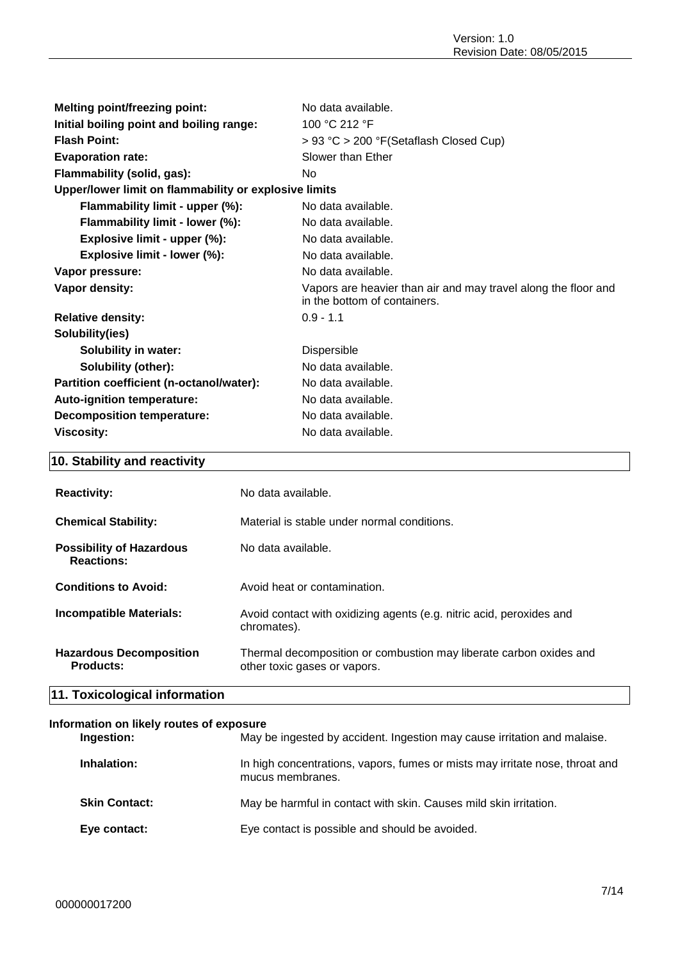| <b>Melting point/freezing point:</b>                  | No data available.                                                                             |  |
|-------------------------------------------------------|------------------------------------------------------------------------------------------------|--|
| Initial boiling point and boiling range:              | 100 °C 212 °F                                                                                  |  |
| <b>Flash Point:</b>                                   | > 93 °C > 200 °F(Setaflash Closed Cup)                                                         |  |
| <b>Evaporation rate:</b>                              | Slower than Ether                                                                              |  |
| Flammability (solid, gas):                            | No                                                                                             |  |
| Upper/lower limit on flammability or explosive limits |                                                                                                |  |
| Flammability limit - upper (%):                       | No data available.                                                                             |  |
| Flammability limit - lower (%):                       | No data available.                                                                             |  |
| Explosive limit - upper (%):                          | No data available.                                                                             |  |
| Explosive limit - lower (%):                          | No data available.                                                                             |  |
| Vapor pressure:                                       | No data available.                                                                             |  |
| Vapor density:                                        | Vapors are heavier than air and may travel along the floor and<br>in the bottom of containers. |  |
| <b>Relative density:</b>                              | $0.9 - 1.1$                                                                                    |  |
| Solubility(ies)                                       |                                                                                                |  |
| <b>Solubility in water:</b>                           | <b>Dispersible</b>                                                                             |  |
| <b>Solubility (other):</b>                            | No data available.                                                                             |  |
| Partition coefficient (n-octanol/water):              | No data available.                                                                             |  |
| <b>Auto-ignition temperature:</b>                     | No data available.                                                                             |  |
| <b>Decomposition temperature:</b>                     | No data available.                                                                             |  |
| <b>Viscosity:</b>                                     | No data available.                                                                             |  |

# **10. Stability and reactivity**

| <b>Reactivity:</b>                                   | No data available.                                                                                 |
|------------------------------------------------------|----------------------------------------------------------------------------------------------------|
| <b>Chemical Stability:</b>                           | Material is stable under normal conditions.                                                        |
| <b>Possibility of Hazardous</b><br><b>Reactions:</b> | No data available.                                                                                 |
| <b>Conditions to Avoid:</b>                          | Avoid heat or contamination.                                                                       |
| <b>Incompatible Materials:</b>                       | Avoid contact with oxidizing agents (e.g. nitric acid, peroxides and<br>chromates).                |
| <b>Hazardous Decomposition</b><br><b>Products:</b>   | Thermal decomposition or combustion may liberate carbon oxides and<br>other toxic gases or vapors. |
|                                                      |                                                                                                    |

# **11. Toxicological information**

#### **Information on likely routes of exposure**

| Ingestion:           | May be ingested by accident. Ingestion may cause irritation and malaise.                         |
|----------------------|--------------------------------------------------------------------------------------------------|
| Inhalation:          | In high concentrations, vapors, fumes or mists may irritate nose, throat and<br>mucus membranes. |
| <b>Skin Contact:</b> | May be harmful in contact with skin. Causes mild skin irritation.                                |
| Eye contact:         | Eye contact is possible and should be avoided.                                                   |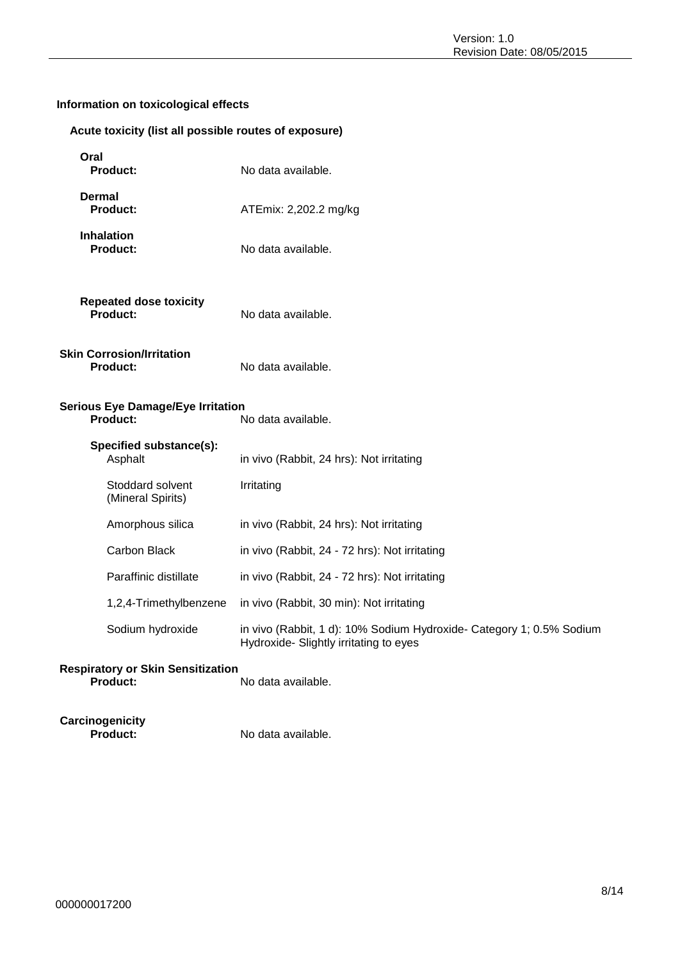# **Information on toxicological effects**

#### **Acute toxicity (list all possible routes of exposure)**

| Oral<br><b>Product:</b>                              | No data available.                                                                                             |
|------------------------------------------------------|----------------------------------------------------------------------------------------------------------------|
| Dermal<br><b>Product:</b>                            | ATEmix: 2,202.2 mg/kg                                                                                          |
| <b>Inhalation</b><br><b>Product:</b>                 | No data available.                                                                                             |
| <b>Repeated dose toxicity</b><br>Product:            | No data available.                                                                                             |
| <b>Skin Corrosion/Irritation</b><br><b>Product:</b>  | No data available.                                                                                             |
| <b>Serious Eye Damage/Eye Irritation</b><br>Product: | No data available.                                                                                             |
| Specified substance(s):<br>Asphalt                   | in vivo (Rabbit, 24 hrs): Not irritating                                                                       |
| Stoddard solvent<br>(Mineral Spirits)                | Irritating                                                                                                     |
| Amorphous silica                                     | in vivo (Rabbit, 24 hrs): Not irritating                                                                       |
| Carbon Black                                         | in vivo (Rabbit, 24 - 72 hrs): Not irritating                                                                  |
| Paraffinic distillate                                | in vivo (Rabbit, 24 - 72 hrs): Not irritating                                                                  |
| 1,2,4-Trimethylbenzene                               | in vivo (Rabbit, 30 min): Not irritating                                                                       |
| Sodium hydroxide                                     | in vivo (Rabbit, 1 d): 10% Sodium Hydroxide- Category 1; 0.5% Sodium<br>Hydroxide- Slightly irritating to eyes |
| <b>Respiratory or Skin Sensitization</b><br>Product: | No data available.                                                                                             |

**Carcinogenicity**

No data available.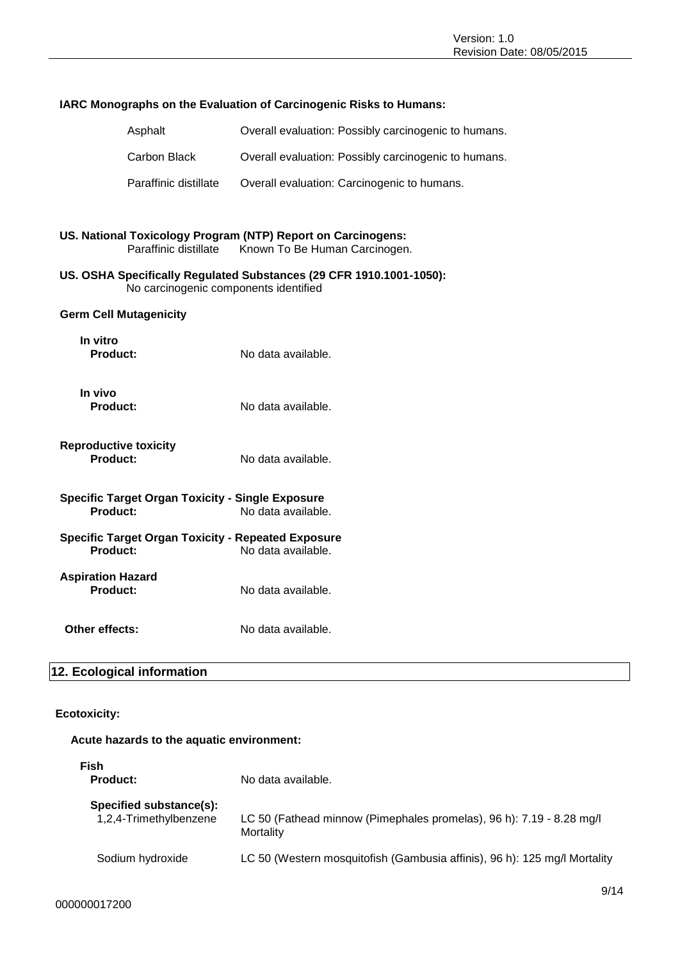| <b>IARC Monographs on the Evaluation of Carcinogenic Risks to Humans:</b>                                    |                                                                                               |  |
|--------------------------------------------------------------------------------------------------------------|-----------------------------------------------------------------------------------------------|--|
| Asphalt                                                                                                      | Overall evaluation: Possibly carcinogenic to humans.                                          |  |
| Carbon Black                                                                                                 | Overall evaluation: Possibly carcinogenic to humans.                                          |  |
| Paraffinic distillate                                                                                        | Overall evaluation: Carcinogenic to humans.                                                   |  |
|                                                                                                              |                                                                                               |  |
| Paraffinic distillate                                                                                        | US. National Toxicology Program (NTP) Report on Carcinogens:<br>Known To Be Human Carcinogen. |  |
| US. OSHA Specifically Regulated Substances (29 CFR 1910.1001-1050):<br>No carcinogenic components identified |                                                                                               |  |
| <b>Germ Cell Mutagenicity</b>                                                                                |                                                                                               |  |
| In vitro<br><b>Product:</b>                                                                                  | No data available.                                                                            |  |
| In vivo<br><b>Product:</b>                                                                                   | No data available.                                                                            |  |
| <b>Reproductive toxicity</b><br>Product:                                                                     | No data available.                                                                            |  |
| <b>Specific Target Organ Toxicity - Single Exposure</b><br>Product:<br>No data available.                    |                                                                                               |  |
| <b>Specific Target Organ Toxicity - Repeated Exposure</b><br><b>Product:</b>                                 | No data available.                                                                            |  |
| <b>Aspiration Hazard</b><br>Product:                                                                         | No data available.                                                                            |  |
| Other effects:                                                                                               | No data available.                                                                            |  |
| 12. Ecological information                                                                                   |                                                                                               |  |

#### **Ecotoxicity:**

# **Acute hazards to the aquatic environment:**

| <b>Fish</b><br><b>Product:</b>                    | No data available.                                                                |
|---------------------------------------------------|-----------------------------------------------------------------------------------|
| Specified substance(s):<br>1,2,4-Trimethylbenzene | LC 50 (Fathead minnow (Pimephales promelas), 96 h): 7.19 - 8.28 mg/l<br>Mortality |
| Sodium hydroxide                                  | LC 50 (Western mosquitofish (Gambusia affinis), 96 h): 125 mg/l Mortality         |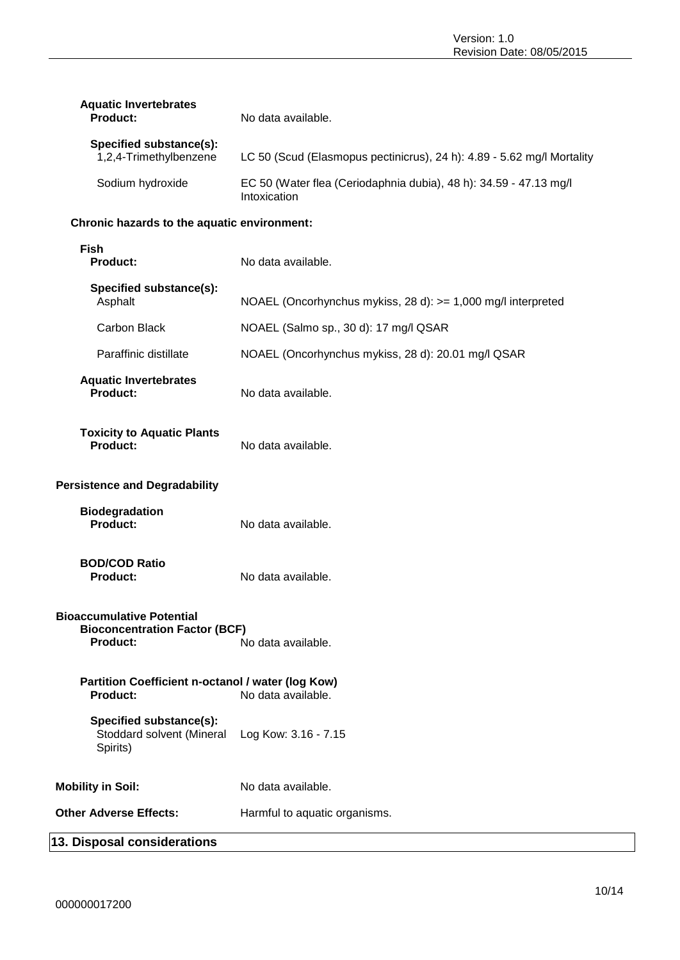| <b>Aquatic Invertebrates</b><br><b>Product:</b>   | No data available.                                                                |
|---------------------------------------------------|-----------------------------------------------------------------------------------|
| Specified substance(s):<br>1,2,4-Trimethylbenzene | LC 50 (Scud (Elasmopus pectinicrus), 24 h): 4.89 - 5.62 mg/l Mortality            |
| Sodium hydroxide                                  | EC 50 (Water flea (Ceriodaphnia dubia), 48 h): 34.59 - 47.13 mg/l<br>Intoxication |

#### **Chronic hazards to the aquatic environment:**

| <b>Fish</b><br><b>Product:</b>                                                                                    | No data available.                                           |  |
|-------------------------------------------------------------------------------------------------------------------|--------------------------------------------------------------|--|
| Specified substance(s):<br>Asphalt                                                                                | NOAEL (Oncorhynchus mykiss, 28 d): >= 1,000 mg/l interpreted |  |
| Carbon Black                                                                                                      | NOAEL (Salmo sp., 30 d): 17 mg/l QSAR                        |  |
| Paraffinic distillate                                                                                             | NOAEL (Oncorhynchus mykiss, 28 d): 20.01 mg/l QSAR           |  |
| <b>Aquatic Invertebrates</b><br><b>Product:</b>                                                                   | No data available.                                           |  |
| <b>Toxicity to Aquatic Plants</b><br>Product:                                                                     | No data available.                                           |  |
| <b>Persistence and Degradability</b>                                                                              |                                                              |  |
| <b>Biodegradation</b><br>Product:                                                                                 | No data available.                                           |  |
| <b>BOD/COD Ratio</b><br>Product:                                                                                  | No data available.                                           |  |
| <b>Bioaccumulative Potential</b><br><b>Bioconcentration Factor (BCF)</b><br>No data available.<br><b>Product:</b> |                                                              |  |
| Partition Coefficient n-octanol / water (log Kow)<br><b>Product:</b>                                              | No data available.                                           |  |
| Specified substance(s):<br>Stoddard solvent (Mineral<br>Spirits)                                                  | Log Kow: 3.16 - 7.15                                         |  |
| <b>Mobility in Soil:</b>                                                                                          | No data available.                                           |  |
| <b>Other Adverse Effects:</b>                                                                                     | Harmful to aquatic organisms.                                |  |

# **13. Disposal considerations**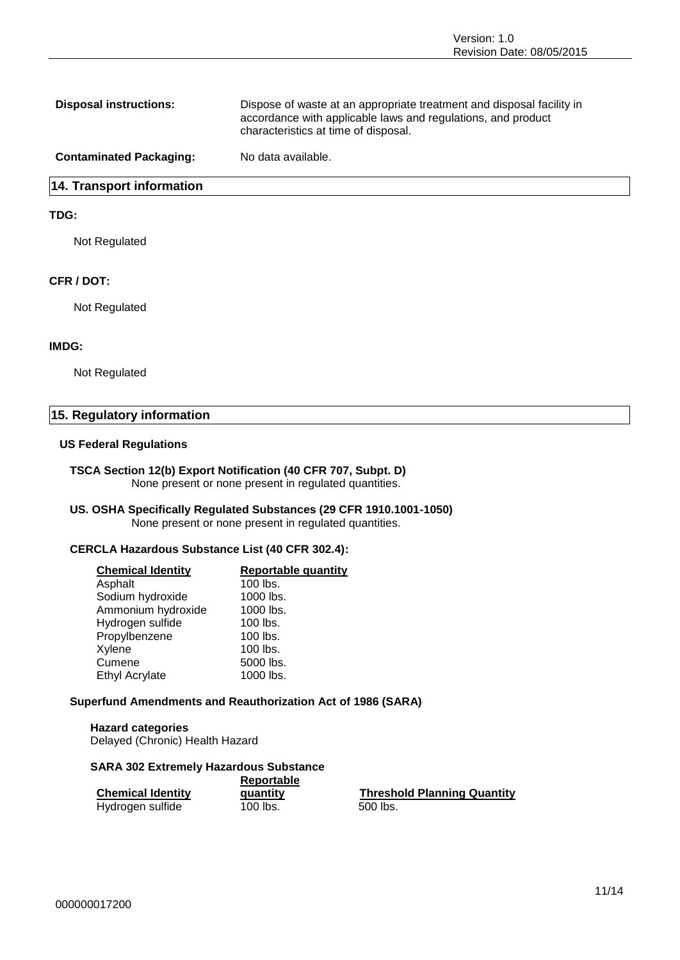| <b>Disposal instructions:</b>  | Dispose of waste at an appropriate treatment and disposal facility in<br>accordance with applicable laws and regulations, and product<br>characteristics at time of disposal. |
|--------------------------------|-------------------------------------------------------------------------------------------------------------------------------------------------------------------------------|
| <b>Contaminated Packaging:</b> | No data available.                                                                                                                                                            |

#### **14. Transport information**

#### **TDG:**

Not Regulated

#### **CFR / DOT:**

Not Regulated

#### **IMDG:**

Not Regulated

#### **15. Regulatory information**

#### **US Federal Regulations**

#### **TSCA Section 12(b) Export Notification (40 CFR 707, Subpt. D)** None present or none present in regulated quantities.

#### **US. OSHA Specifically Regulated Substances (29 CFR 1910.1001-1050)** None present or none present in regulated quantities.

#### **CERCLA Hazardous Substance List (40 CFR 302.4):**

| <b>Chemical Identity</b> | <b>Reportable quantity</b> |
|--------------------------|----------------------------|
| Asphalt                  | 100 lbs.                   |
| Sodium hydroxide         | 1000 lbs.                  |
| Ammonium hydroxide       | 1000 lbs.                  |
| Hydrogen sulfide         | 100 lbs.                   |
| Propylbenzene            | 100 lbs.                   |
| Xylene                   | 100 lbs.                   |
| Cumene                   | 5000 lbs.                  |
| <b>Ethyl Acrylate</b>    | 1000 lbs.                  |
|                          |                            |

#### **Superfund Amendments and Reauthorization Act of 1986 (SARA)**

**Hazard categories** Delayed (Chronic) Health Hazard

#### **SARA 302 Extremely Hazardous Substance**

|                          | Reportable |                                    |  |
|--------------------------|------------|------------------------------------|--|
| <b>Chemical Identity</b> | quantity   | <b>Threshold Planning Quantity</b> |  |
| Hydrogen sulfide         | 100 lbs.   | 500 lbs.                           |  |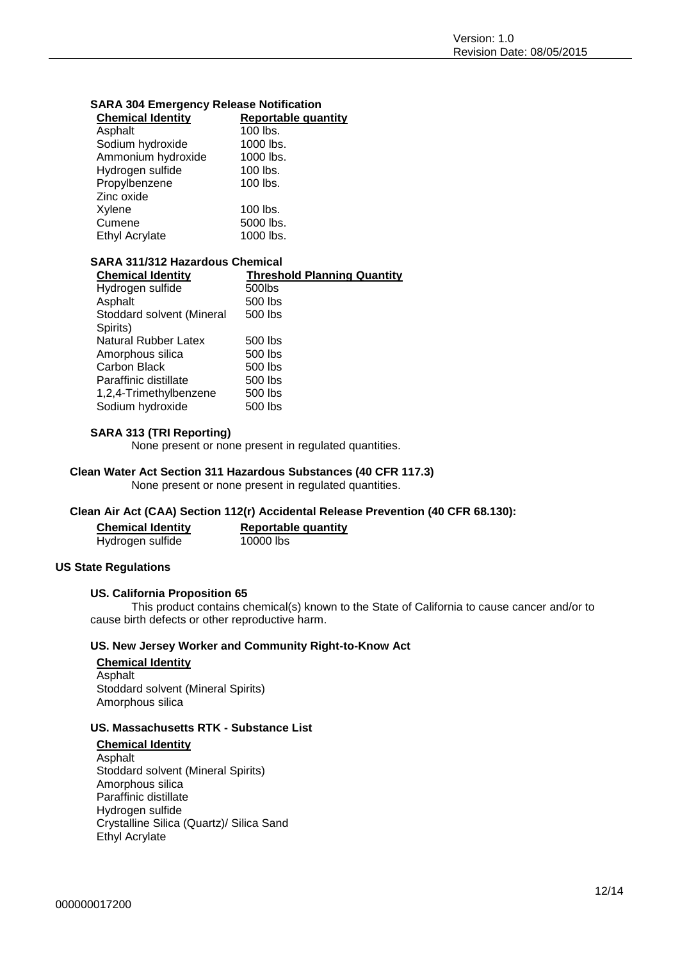| <b>Chemical Identity</b> | <b>Reportable quantity</b> |
|--------------------------|----------------------------|
| Asphalt                  | 100 lbs.                   |
| Sodium hydroxide         | 1000 lbs.                  |
| Ammonium hydroxide       | 1000 lbs.                  |
| Hydrogen sulfide         | 100 lbs.                   |
| Propylbenzene            | 100 lbs.                   |
| Zinc oxide               |                            |
| Xylene                   | $100$ lbs.                 |
| Cumene                   | 5000 lbs.                  |
| <b>Ethyl Acrylate</b>    | 1000 lbs.                  |

#### **SARA 304 Emergency Release Notification**

#### **SARA 311/312 Hazardous Chemical**

| <b>Threshold Planning Quantity</b> |
|------------------------------------|
| 500lbs                             |
| 500 lbs                            |
| 500 lbs                            |
|                                    |
| 500 lbs                            |
| 500 lbs                            |
| 500 lbs                            |
| 500 lbs                            |
| 500 lbs                            |
| 500 lbs                            |
|                                    |

#### **SARA 313 (TRI Reporting)**

None present or none present in regulated quantities.

#### **Clean Water Act Section 311 Hazardous Substances (40 CFR 117.3)**

None present or none present in regulated quantities.

#### **Clean Air Act (CAA) Section 112(r) Accidental Release Prevention (40 CFR 68.130):**

| <b>Chemical Identity</b> | <b>Reportable quantity</b> |
|--------------------------|----------------------------|
| Hydrogen sulfide         | 10000 lbs                  |

#### **US State Regulations**

#### **US. California Proposition 65**

This product contains chemical(s) known to the State of California to cause cancer and/or to cause birth defects or other reproductive harm.

#### **US. New Jersey Worker and Community Right-to-Know Act**

#### **Chemical Identity** Asphalt Stoddard solvent (Mineral Spirits) Amorphous silica

#### **US. Massachusetts RTK - Substance List**

#### **Chemical Identity**

Asphalt Stoddard solvent (Mineral Spirits) Amorphous silica Paraffinic distillate Hydrogen sulfide Crystalline Silica (Quartz)/ Silica Sand Ethyl Acrylate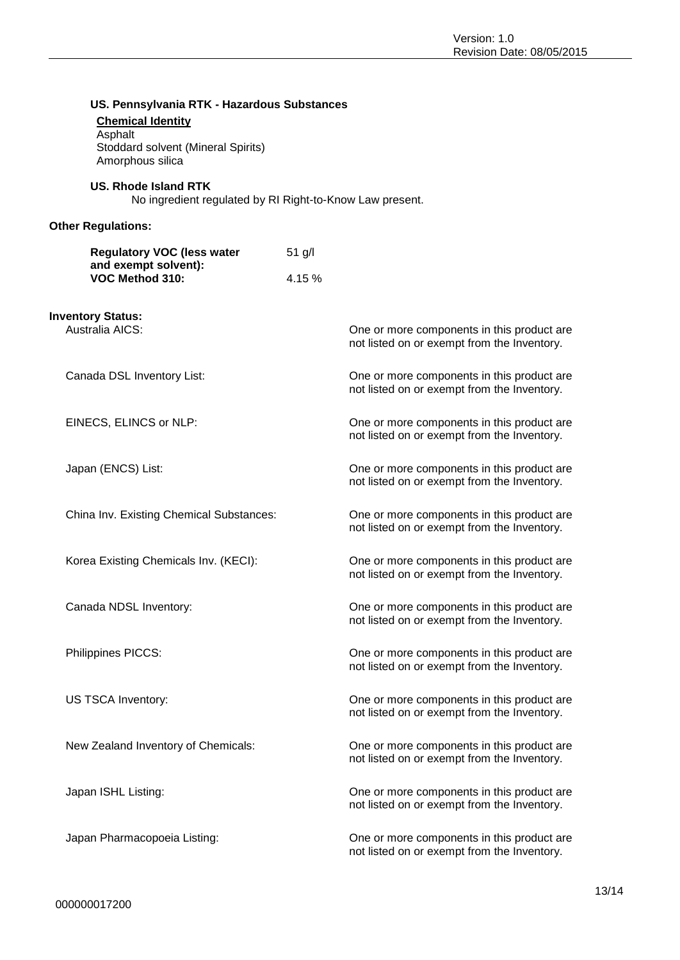| US. Pennsylvania RTK - Hazardous Substances                                  |                                            |                                                                                           |
|------------------------------------------------------------------------------|--------------------------------------------|-------------------------------------------------------------------------------------------|
| <b>Chemical Identity</b>                                                     |                                            |                                                                                           |
| Asphalt                                                                      |                                            |                                                                                           |
| Stoddard solvent (Mineral Spirits)<br>Amorphous silica                       |                                            |                                                                                           |
|                                                                              |                                            |                                                                                           |
| <b>US. Rhode Island RTK</b>                                                  |                                            |                                                                                           |
| No ingredient regulated by RI Right-to-Know Law present.                     |                                            |                                                                                           |
|                                                                              |                                            |                                                                                           |
| <b>Other Regulations:</b>                                                    |                                            |                                                                                           |
|                                                                              |                                            |                                                                                           |
| <b>Regulatory VOC (less water</b><br>and exempt solvent):<br>VOC Method 310: | $51$ g/l                                   |                                                                                           |
|                                                                              |                                            |                                                                                           |
|                                                                              | 4.15 %                                     |                                                                                           |
|                                                                              |                                            |                                                                                           |
| <b>Inventory Status:</b>                                                     |                                            |                                                                                           |
| Australia AICS:                                                              |                                            | One or more components in this product are                                                |
|                                                                              |                                            | not listed on or exempt from the Inventory.                                               |
|                                                                              |                                            |                                                                                           |
| Canada DSL Inventory List:                                                   |                                            | One or more components in this product are                                                |
|                                                                              |                                            | not listed on or exempt from the Inventory.                                               |
|                                                                              |                                            |                                                                                           |
| EINECS, ELINCS or NLP:                                                       |                                            | One or more components in this product are                                                |
|                                                                              |                                            | not listed on or exempt from the Inventory.                                               |
|                                                                              |                                            |                                                                                           |
| Japan (ENCS) List:                                                           |                                            | One or more components in this product are                                                |
|                                                                              |                                            | not listed on or exempt from the Inventory.                                               |
|                                                                              |                                            |                                                                                           |
| China Inv. Existing Chemical Substances:                                     |                                            | One or more components in this product are                                                |
|                                                                              |                                            | not listed on or exempt from the Inventory.                                               |
|                                                                              |                                            |                                                                                           |
| Korea Existing Chemicals Inv. (KECI):                                        | One or more components in this product are |                                                                                           |
|                                                                              |                                            | not listed on or exempt from the Inventory.                                               |
|                                                                              |                                            |                                                                                           |
| Canada NDSL Inventory:                                                       |                                            | One or more components in this product are                                                |
|                                                                              |                                            | not listed on or exempt from the Inventory.                                               |
|                                                                              |                                            |                                                                                           |
|                                                                              |                                            |                                                                                           |
| Philippines PICCS:                                                           |                                            | One or more components in this product are<br>not listed on or exempt from the Inventory. |
|                                                                              |                                            |                                                                                           |
|                                                                              |                                            |                                                                                           |
| US TSCA Inventory:                                                           |                                            | One or more components in this product are<br>not listed on or exempt from the Inventory. |
|                                                                              |                                            |                                                                                           |
|                                                                              |                                            |                                                                                           |
| New Zealand Inventory of Chemicals:                                          |                                            | One or more components in this product are                                                |
|                                                                              |                                            | not listed on or exempt from the Inventory.                                               |
|                                                                              |                                            |                                                                                           |
| Japan ISHL Listing:                                                          |                                            | One or more components in this product are                                                |
|                                                                              |                                            | not listed on or exempt from the Inventory.                                               |
|                                                                              |                                            |                                                                                           |
| Japan Pharmacopoeia Listing:                                                 |                                            | One or more components in this product are                                                |
|                                                                              |                                            | not listed on or exempt from the Inventory.                                               |